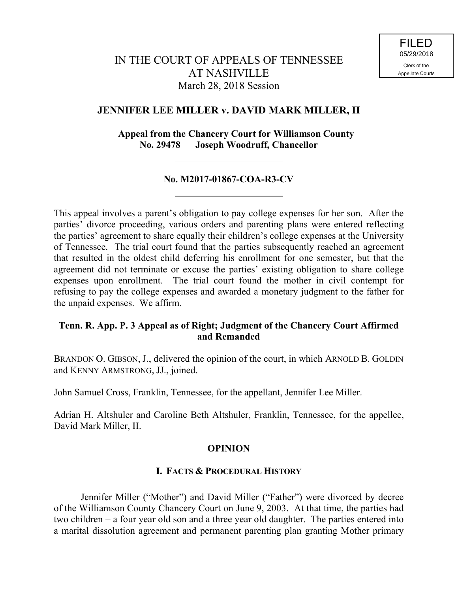# **JENNIFER LEE MILLER v. DAVID MARK MILLER, II**

 **Appeal from the Chancery Court for Williamson County No. 29478 Joseph Woodruff, Chancellor**

## **No. M2017-01867-COA-R3-CV**

This appeal involves a parent's obligation to pay college expenses for her son. After the parties' divorce proceeding, various orders and parenting plans were entered reflecting the parties' agreement to share equally their children's college expenses at the University of Tennessee. The trial court found that the parties subsequently reached an agreement that resulted in the oldest child deferring his enrollment for one semester, but that the agreement did not terminate or excuse the parties' existing obligation to share college expenses upon enrollment. The trial court found the mother in civil contempt for refusing to pay the college expenses and awarded a monetary judgment to the father for the unpaid expenses. We affirm.

# **Tenn. R. App. P. 3 Appeal as of Right; Judgment of the Chancery Court Affirmed and Remanded**

BRANDON O. GIBSON, J., delivered the opinion of the court, in which ARNOLD B. GOLDIN and KENNY ARMSTRONG, JJ., joined.

John Samuel Cross, Franklin, Tennessee, for the appellant, Jennifer Lee Miller.

Adrian H. Altshuler and Caroline Beth Altshuler, Franklin, Tennessee, for the appellee, David Mark Miller, II.

# **OPINION**

# **I. FACTS & PROCEDURAL HISTORY**

Jennifer Miller ("Mother") and David Miller ("Father") were divorced by decree of the Williamson County Chancery Court on June 9, 2003. At that time, the parties had two children – a four year old son and a three year old daughter. The parties entered into a marital dissolution agreement and permanent parenting plan granting Mother primary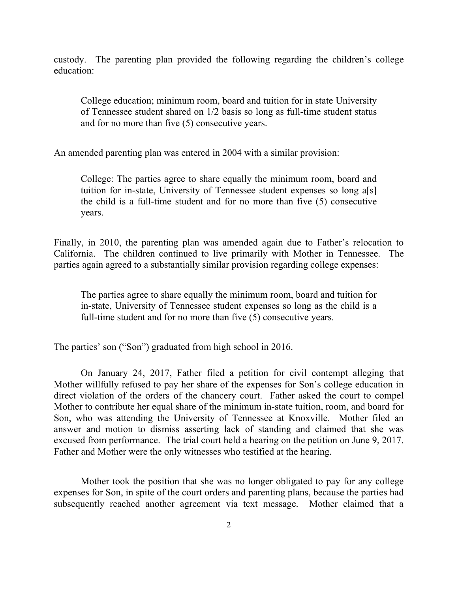custody. The parenting plan provided the following regarding the children's college education:

College education; minimum room, board and tuition for in state University of Tennessee student shared on 1/2 basis so long as full-time student status and for no more than five (5) consecutive years.

An amended parenting plan was entered in 2004 with a similar provision:

College: The parties agree to share equally the minimum room, board and tuition for in-state, University of Tennessee student expenses so long a[s] the child is a full-time student and for no more than five (5) consecutive years.

Finally, in 2010, the parenting plan was amended again due to Father's relocation to California. The children continued to live primarily with Mother in Tennessee. The parties again agreed to a substantially similar provision regarding college expenses:

The parties agree to share equally the minimum room, board and tuition for in-state, University of Tennessee student expenses so long as the child is a full-time student and for no more than five (5) consecutive years.

The parties' son ("Son") graduated from high school in 2016.

On January 24, 2017, Father filed a petition for civil contempt alleging that Mother willfully refused to pay her share of the expenses for Son's college education in direct violation of the orders of the chancery court. Father asked the court to compel Mother to contribute her equal share of the minimum in-state tuition, room, and board for Son, who was attending the University of Tennessee at Knoxville. Mother filed an answer and motion to dismiss asserting lack of standing and claimed that she was excused from performance. The trial court held a hearing on the petition on June 9, 2017. Father and Mother were the only witnesses who testified at the hearing.

Mother took the position that she was no longer obligated to pay for any college expenses for Son, in spite of the court orders and parenting plans, because the parties had subsequently reached another agreement via text message. Mother claimed that a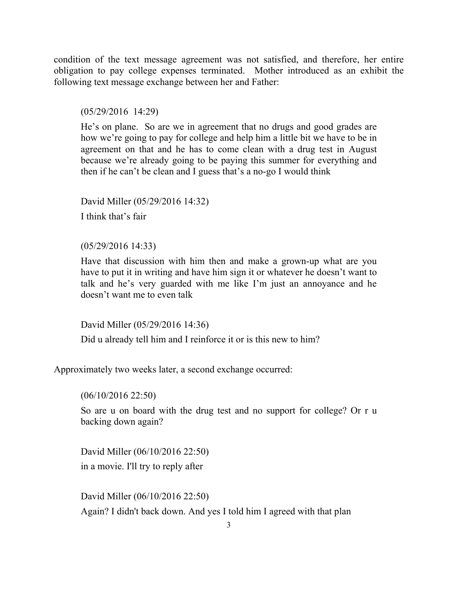condition of the text message agreement was not satisfied, and therefore, her entire obligation to pay college expenses terminated.Mother introduced as an exhibit the following text message exchange between her and Father:

(05/29/2016 14:29)

He's on plane. So are we in agreement that no drugs and good grades are how we're going to pay for college and help him a little bit we have to be in agreement on that and he has to come clean with a drug test in August because we're already going to be paying this summer for everything and then if he can't be clean and I guess that's a no-go I would think

David Miller (05/29/2016 14:32) I think that's fair

(05/29/2016 14:33)

Have that discussion with him then and make a grown-up what are you have to put it in writing and have him sign it or whatever he doesn't want to talk and he's very guarded with me like I'm just an annoyance and he doesn't want me to even talk

David Miller (05/29/2016 14:36)

Did u already tell him and I reinforce it or is this new to him?

Approximately two weeks later, a second exchange occurred:

(06/10/2016 22:50)

So are u on board with the drug test and no support for college? Or r u backing down again?

David Miller (06/10/2016 22:50) in a movie. I'll try to reply after

David Miller (06/10/2016 22:50) Again? I didn't back down. And yes I told him I agreed with that plan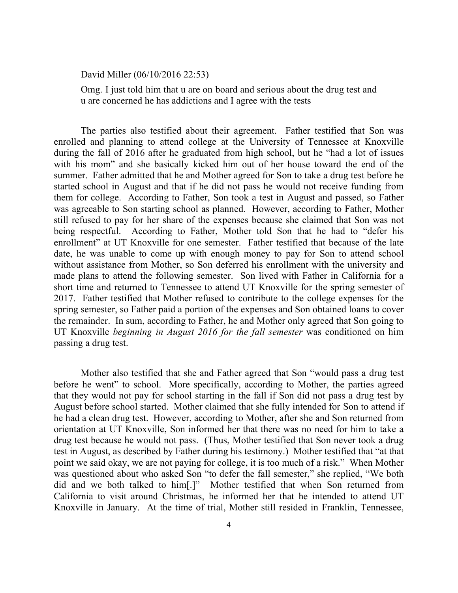David Miller (06/10/2016 22:53)

Omg. I just told him that u are on board and serious about the drug test and u are concerned he has addictions and I agree with the tests

The parties also testified about their agreement. Father testified that Son was enrolled and planning to attend college at the University of Tennessee at Knoxville during the fall of 2016 after he graduated from high school, but he "had a lot of issues with his mom" and she basically kicked him out of her house toward the end of the summer. Father admitted that he and Mother agreed for Son to take a drug test before he started school in August and that if he did not pass he would not receive funding from them for college. According to Father, Son took a test in August and passed, so Father was agreeable to Son starting school as planned. However, according to Father, Mother still refused to pay for her share of the expenses because she claimed that Son was not being respectful. According to Father, Mother told Son that he had to "defer his enrollment" at UT Knoxville for one semester. Father testified that because of the late date, he was unable to come up with enough money to pay for Son to attend school without assistance from Mother, so Son deferred his enrollment with the university and made plans to attend the following semester. Son lived with Father in California for a short time and returned to Tennessee to attend UT Knoxville for the spring semester of 2017. Father testified that Mother refused to contribute to the college expenses for the spring semester, so Father paid a portion of the expenses and Son obtained loans to cover the remainder. In sum, according to Father, he and Mother only agreed that Son going to UT Knoxville *beginning in August 2016 for the fall semester* was conditioned on him passing a drug test.

Mother also testified that she and Father agreed that Son "would pass a drug test before he went" to school. More specifically, according to Mother, the parties agreed that they would not pay for school starting in the fall if Son did not pass a drug test by August before school started. Mother claimed that she fully intended for Son to attend if he had a clean drug test. However, according to Mother, after she and Son returned from orientation at UT Knoxville, Son informed her that there was no need for him to take a drug test because he would not pass. (Thus, Mother testified that Son never took a drug test in August, as described by Father during his testimony.) Mother testified that "at that point we said okay, we are not paying for college, it is too much of a risk." When Mother was questioned about who asked Son "to defer the fall semester," she replied, "We both did and we both talked to him[.]" Mother testified that when Son returned from California to visit around Christmas, he informed her that he intended to attend UT Knoxville in January. At the time of trial, Mother still resided in Franklin, Tennessee,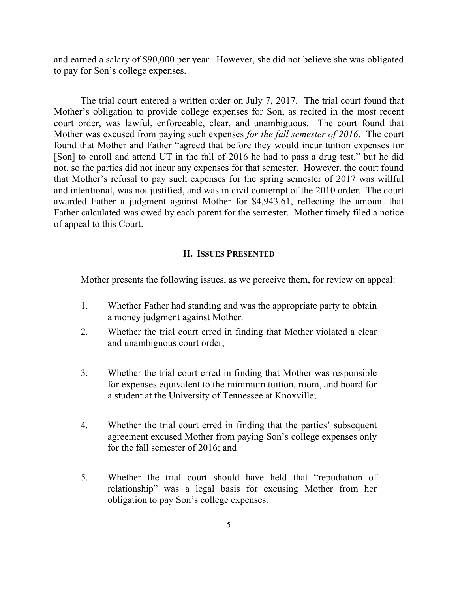and earned a salary of \$90,000 per year. However, she did not believe she was obligated to pay for Son's college expenses.

The trial court entered a written order on July 7, 2017. The trial court found that Mother's obligation to provide college expenses for Son, as recited in the most recent court order, was lawful, enforceable, clear, and unambiguous. The court found that Mother was excused from paying such expenses *for the fall semester of 2016*. The court found that Mother and Father "agreed that before they would incur tuition expenses for [Son] to enroll and attend UT in the fall of 2016 he had to pass a drug test," but he did not, so the parties did not incur any expenses for that semester. However, the court found that Mother's refusal to pay such expenses for the spring semester of 2017 was willful and intentional, was not justified, and was in civil contempt of the 2010 order. The court awarded Father a judgment against Mother for \$4,943.61, reflecting the amount that Father calculated was owed by each parent for the semester. Mother timely filed a notice of appeal to this Court.

#### **II. ISSUES PRESENTED**

Mother presents the following issues, as we perceive them, for review on appeal:

- 1. Whether Father had standing and was the appropriate party to obtain a money judgment against Mother.
- 2. Whether the trial court erred in finding that Mother violated a clear and unambiguous court order;
- 3. Whether the trial court erred in finding that Mother was responsible for expenses equivalent to the minimum tuition, room, and board for a student at the University of Tennessee at Knoxville;
- 4. Whether the trial court erred in finding that the parties' subsequent agreement excused Mother from paying Son's college expenses only for the fall semester of 2016; and
- 5. Whether the trial court should have held that "repudiation of relationship" was a legal basis for excusing Mother from her obligation to pay Son's college expenses.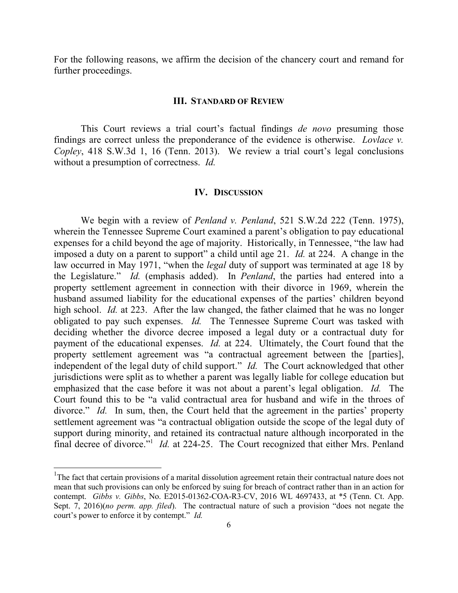For the following reasons, we affirm the decision of the chancery court and remand for further proceedings.

#### **III. STANDARD OF REVIEW**

This Court reviews a trial court's factual findings *de novo* presuming those findings are correct unless the preponderance of the evidence is otherwise. *Lovlace v. Copley*, 418 S.W.3d 1, 16 (Tenn. 2013). We review a trial court's legal conclusions without a presumption of correctness. *Id.*

#### **IV. DISCUSSION**

We begin with a review of *Penland v. Penland*, 521 S.W.2d 222 (Tenn. 1975), wherein the Tennessee Supreme Court examined a parent's obligation to pay educational expenses for a child beyond the age of majority. Historically, in Tennessee, "the law had imposed a duty on a parent to support" a child until age 21. *Id.* at 224. A change in the law occurred in May 1971, "when the *legal* duty of support was terminated at age 18 by the Legislature." *Id.* (emphasis added). In *Penland*, the parties had entered into a property settlement agreement in connection with their divorce in 1969, wherein the husband assumed liability for the educational expenses of the parties' children beyond high school. *Id.* at 223. After the law changed, the father claimed that he was no longer obligated to pay such expenses. *Id.* The Tennessee Supreme Court was tasked with deciding whether the divorce decree imposed a legal duty or a contractual duty for payment of the educational expenses. *Id.* at 224.Ultimately, the Court found that the property settlement agreement was "a contractual agreement between the [parties], independent of the legal duty of child support." *Id.* The Court acknowledged that other jurisdictions were split as to whether a parent was legally liable for college education but emphasized that the case before it was not about a parent's legal obligation. *Id.* The Court found this to be "a valid contractual area for husband and wife in the throes of divorce." *Id.* In sum, then, the Court held that the agreement in the parties' property settlement agreement was "a contractual obligation outside the scope of the legal duty of support during minority, and retained its contractual nature although incorporated in the final decree of divorce."<sup>1</sup> *Id.* at 224-25. The Court recognized that either Mrs. Penland

 $\overline{\phantom{a}}$ 

<sup>&</sup>lt;sup>1</sup>The fact that certain provisions of a marital dissolution agreement retain their contractual nature does not mean that such provisions can only be enforced by suing for breach of contract rather than in an action for contempt. *Gibbs v. Gibbs*, No. E2015-01362-COA-R3-CV, 2016 WL 4697433, at \*5 (Tenn. Ct. App. Sept. 7, 2016)(*no perm. app. filed*). The contractual nature of such a provision "does not negate the court's power to enforce it by contempt." *Id.*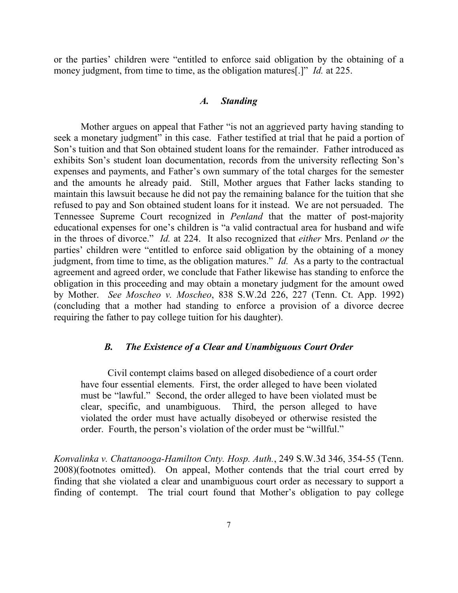or the parties' children were "entitled to enforce said obligation by the obtaining of a money judgment, from time to time, as the obligation matures[.]" *Id.* at 225.

## *A. Standing*

Mother argues on appeal that Father "is not an aggrieved party having standing to seek a monetary judgment" in this case. Father testified at trial that he paid a portion of Son's tuition and that Son obtained student loans for the remainder. Father introduced as exhibits Son's student loan documentation, records from the university reflecting Son's expenses and payments, and Father's own summary of the total charges for the semester and the amounts he already paid. Still, Mother argues that Father lacks standing to maintain this lawsuit because he did not pay the remaining balance for the tuition that she refused to pay and Son obtained student loans for it instead. We are not persuaded. The Tennessee Supreme Court recognized in *Penland* that the matter of post-majority educational expenses for one's children is "a valid contractual area for husband and wife in the throes of divorce." *Id.* at 224.It also recognized that *either* Mrs. Penland *or* the parties' children were "entitled to enforce said obligation by the obtaining of a money judgment, from time to time, as the obligation matures." *Id.* As a party to the contractual agreement and agreed order, we conclude that Father likewise has standing to enforce the obligation in this proceeding and may obtain a monetary judgment for the amount owed by Mother. *See Moscheo v. Moscheo*, 838 S.W.2d 226, 227 (Tenn. Ct. App. 1992) (concluding that a mother had standing to enforce a provision of a divorce decree requiring the father to pay college tuition for his daughter).

### *B. The Existence of a Clear and Unambiguous Court Order*

Civil contempt claims based on alleged disobedience of a court order have four essential elements. First, the order alleged to have been violated must be "lawful." Second, the order alleged to have been violated must be clear, specific, and unambiguous. Third, the person alleged to have violated the order must have actually disobeyed or otherwise resisted the order. Fourth, the person's violation of the order must be "willful."

*Konvalinka v. Chattanooga-Hamilton Cnty. Hosp. Auth.*, 249 S.W.3d 346, 354-55 (Tenn. 2008)(footnotes omitted). On appeal, Mother contends that the trial court erred by finding that she violated a clear and unambiguous court order as necessary to support a finding of contempt. The trial court found that Mother's obligation to pay college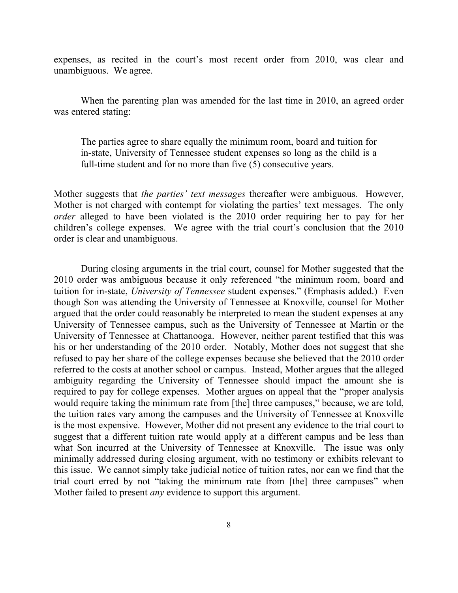expenses, as recited in the court's most recent order from 2010, was clear and unambiguous. We agree.

When the parenting plan was amended for the last time in 2010, an agreed order was entered stating:

The parties agree to share equally the minimum room, board and tuition for in-state, University of Tennessee student expenses so long as the child is a full-time student and for no more than five (5) consecutive years.

Mother suggests that *the parties' text messages* thereafter were ambiguous. However, Mother is not charged with contempt for violating the parties' text messages. The only *order* alleged to have been violated is the 2010 order requiring her to pay for her children's college expenses. We agree with the trial court's conclusion that the 2010 order is clear and unambiguous.

During closing arguments in the trial court, counsel for Mother suggested that the 2010 order was ambiguous because it only referenced "the minimum room, board and tuition for in-state, *University of Tennessee* student expenses." (Emphasis added.) Even though Son was attending the University of Tennessee at Knoxville, counsel for Mother argued that the order could reasonably be interpreted to mean the student expenses at any University of Tennessee campus, such as the University of Tennessee at Martin or the University of Tennessee at Chattanooga. However, neither parent testified that this was his or her understanding of the 2010 order. Notably, Mother does not suggest that she refused to pay her share of the college expenses because she believed that the 2010 order referred to the costs at another school or campus. Instead, Mother argues that the alleged ambiguity regarding the University of Tennessee should impact the amount she is required to pay for college expenses. Mother argues on appeal that the "proper analysis would require taking the minimum rate from [the] three campuses," because, we are told, the tuition rates vary among the campuses and the University of Tennessee at Knoxville is the most expensive. However, Mother did not present any evidence to the trial court to suggest that a different tuition rate would apply at a different campus and be less than what Son incurred at the University of Tennessee at Knoxville. The issue was only minimally addressed during closing argument, with no testimony or exhibits relevant to this issue. We cannot simply take judicial notice of tuition rates, nor can we find that the trial court erred by not "taking the minimum rate from [the] three campuses" when Mother failed to present *any* evidence to support this argument.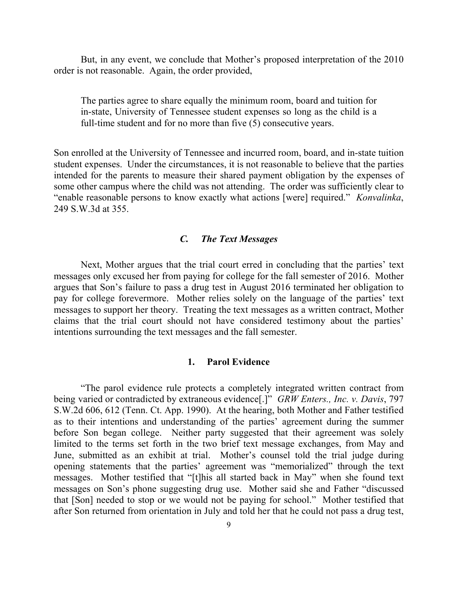But, in any event, we conclude that Mother's proposed interpretation of the 2010 order is not reasonable. Again, the order provided,

The parties agree to share equally the minimum room, board and tuition for in-state, University of Tennessee student expenses so long as the child is a full-time student and for no more than five (5) consecutive years.

Son enrolled at the University of Tennessee and incurred room, board, and in-state tuition student expenses. Under the circumstances, it is not reasonable to believe that the parties intended for the parents to measure their shared payment obligation by the expenses of some other campus where the child was not attending. The order was sufficiently clear to "enable reasonable persons to know exactly what actions [were] required." *Konvalinka*, 249 S.W.3d at 355.

## *C. The Text Messages*

Next, Mother argues that the trial court erred in concluding that the parties' text messages only excused her from paying for college for the fall semester of 2016. Mother argues that Son's failure to pass a drug test in August 2016 terminated her obligation to pay for college forevermore. Mother relies solely on the language of the parties' text messages to support her theory. Treating the text messages as a written contract, Mother claims that the trial court should not have considered testimony about the parties' intentions surrounding the text messages and the fall semester.

## **1. Parol Evidence**

"The parol evidence rule protects a completely integrated written contract from being varied or contradicted by extraneous evidence[.]" *GRW Enters., Inc. v. Davis*, 797 S.W.2d 606, 612 (Tenn. Ct. App. 1990). At the hearing, both Mother and Father testified as to their intentions and understanding of the parties' agreement during the summer before Son began college. Neither party suggested that their agreement was solely limited to the terms set forth in the two brief text message exchanges, from May and June, submitted as an exhibit at trial. Mother's counsel told the trial judge during opening statements that the parties' agreement was "memorialized" through the text messages. Mother testified that "[t]his all started back in May" when she found text messages on Son's phone suggesting drug use. Mother said she and Father "discussed that [Son] needed to stop or we would not be paying for school." Mother testified that after Son returned from orientation in July and told her that he could not pass a drug test,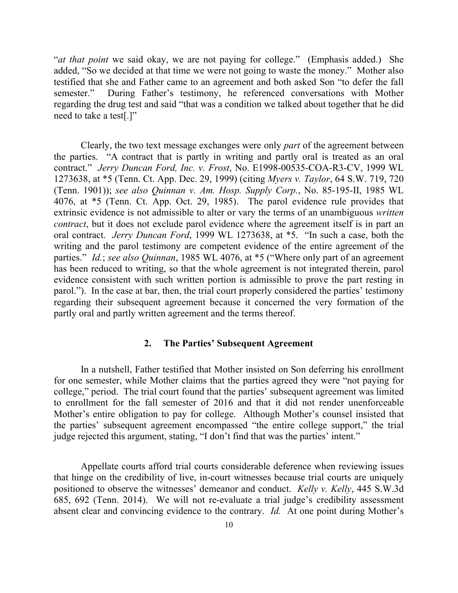"*at that point* we said okay, we are not paying for college." (Emphasis added.) She added, "So we decided at that time we were not going to waste the money." Mother also testified that she and Father came to an agreement and both asked Son "to defer the fall semester." During Father's testimony, he referenced conversations with Mother regarding the drug test and said "that was a condition we talked about together that he did need to take a test[.]"

Clearly, the two text message exchanges were only *part* of the agreement between the parties. "A contract that is partly in writing and partly oral is treated as an oral contract." *Jerry Duncan Ford, Inc. v. Frost*, No. E1998-00535-COA-R3-CV, 1999 WL 1273638, at \*5 (Tenn. Ct. App. Dec. 29, 1999) (citing *Myers v. Taylor*, 64 S.W. 719, 720 (Tenn. 1901)); *see also Quinnan v. Am. Hosp. Supply Corp.*, No. 85-195-II, 1985 WL 4076, at \*5 (Tenn. Ct. App. Oct. 29, 1985). The parol evidence rule provides that extrinsic evidence is not admissible to alter or vary the terms of an unambiguous *written contract*, but it does not exclude parol evidence where the agreement itself is in part an oral contract. *Jerry Duncan Ford*, 1999 WL 1273638, at \*5."In such a case, both the writing and the parol testimony are competent evidence of the entire agreement of the parties." *Id.*; *see also Quinnan*, 1985 WL 4076, at \*5 ("Where only part of an agreement has been reduced to writing, so that the whole agreement is not integrated therein, parol evidence consistent with such written portion is admissible to prove the part resting in parol."). In the case at bar, then, the trial court properly considered the parties' testimony regarding their subsequent agreement because it concerned the very formation of the partly oral and partly written agreement and the terms thereof.

## **2. The Parties' Subsequent Agreement**

In a nutshell, Father testified that Mother insisted on Son deferring his enrollment for one semester, while Mother claims that the parties agreed they were "not paying for college," period. The trial court found that the parties' subsequent agreement was limited to enrollment for the fall semester of 2016 and that it did not render unenforceable Mother's entire obligation to pay for college. Although Mother's counsel insisted that the parties' subsequent agreement encompassed "the entire college support," the trial judge rejected this argument, stating, "I don't find that was the parties' intent."

Appellate courts afford trial courts considerable deference when reviewing issues that hinge on the credibility of live, in-court witnesses because trial courts are uniquely positioned to observe the witnesses' demeanor and conduct. *Kelly v. Kelly*, 445 S.W.3d 685, 692 (Tenn. 2014). We will not re-evaluate a trial judge's credibility assessment absent clear and convincing evidence to the contrary. *Id.* At one point during Mother's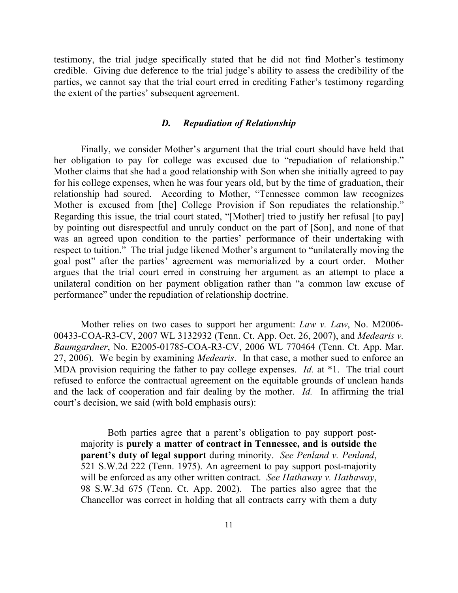testimony, the trial judge specifically stated that he did not find Mother's testimony credible. Giving due deference to the trial judge's ability to assess the credibility of the parties, we cannot say that the trial court erred in crediting Father's testimony regarding the extent of the parties' subsequent agreement.

### *D. Repudiation of Relationship*

Finally, we consider Mother's argument that the trial court should have held that her obligation to pay for college was excused due to "repudiation of relationship." Mother claims that she had a good relationship with Son when she initially agreed to pay for his college expenses, when he was four years old, but by the time of graduation, their relationship had soured. According to Mother, "Tennessee common law recognizes Mother is excused from [the] College Provision if Son repudiates the relationship." Regarding this issue, the trial court stated, "[Mother] tried to justify her refusal [to pay] by pointing out disrespectful and unruly conduct on the part of [Son], and none of that was an agreed upon condition to the parties' performance of their undertaking with respect to tuition." The trial judge likened Mother's argument to "unilaterally moving the goal post" after the parties' agreement was memorialized by a court order. Mother argues that the trial court erred in construing her argument as an attempt to place a unilateral condition on her payment obligation rather than "a common law excuse of performance" under the repudiation of relationship doctrine.

Mother relies on two cases to support her argument: *Law v. Law*, No. M2006- 00433-COA-R3-CV, 2007 WL 3132932 (Tenn. Ct. App. Oct. 26, 2007), and *Medearis v. Baumgardner*, No. E2005-01785-COA-R3-CV, 2006 WL 770464 (Tenn. Ct. App. Mar. 27, 2006). We begin by examining *Medearis*. In that case, a mother sued to enforce an MDA provision requiring the father to pay college expenses. *Id.* at \*1. The trial court refused to enforce the contractual agreement on the equitable grounds of unclean hands and the lack of cooperation and fair dealing by the mother. *Id.* In affirming the trial court's decision, we said (with bold emphasis ours):

Both parties agree that a parent's obligation to pay support postmajority is **purely a matter of contract in Tennessee, and is outside the parent's duty of legal support** during minority. *See Penland v. Penland*, 521 S.W.2d 222 (Tenn. 1975). An agreement to pay support post-majority will be enforced as any other written contract. *See Hathaway v. Hathaway*, 98 S.W.3d 675 (Tenn. Ct. App. 2002). The parties also agree that the Chancellor was correct in holding that all contracts carry with them a duty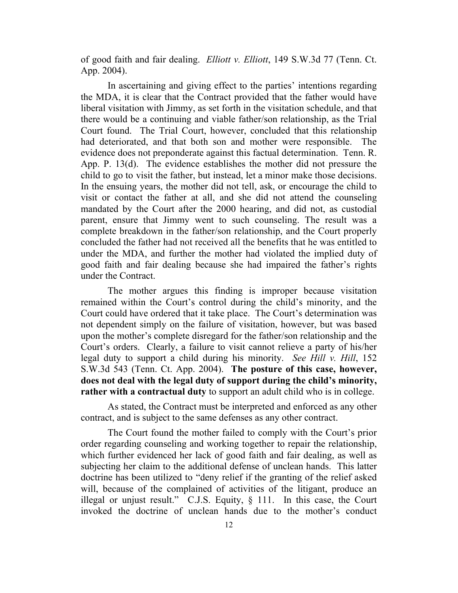of good faith and fair dealing. *Elliott v. Elliott*, 149 S.W.3d 77 (Tenn. Ct. App. 2004).

In ascertaining and giving effect to the parties' intentions regarding the MDA, it is clear that the Contract provided that the father would have liberal visitation with Jimmy, as set forth in the visitation schedule, and that there would be a continuing and viable father/son relationship, as the Trial Court found. The Trial Court, however, concluded that this relationship had deteriorated, and that both son and mother were responsible. The evidence does not preponderate against this factual determination. Tenn. R. App. P. 13(d). The evidence establishes the mother did not pressure the child to go to visit the father, but instead, let a minor make those decisions. In the ensuing years, the mother did not tell, ask, or encourage the child to visit or contact the father at all, and she did not attend the counseling mandated by the Court after the 2000 hearing, and did not, as custodial parent, ensure that Jimmy went to such counseling. The result was a complete breakdown in the father/son relationship, and the Court properly concluded the father had not received all the benefits that he was entitled to under the MDA, and further the mother had violated the implied duty of good faith and fair dealing because she had impaired the father's rights under the Contract.

The mother argues this finding is improper because visitation remained within the Court's control during the child's minority, and the Court could have ordered that it take place. The Court's determination was not dependent simply on the failure of visitation, however, but was based upon the mother's complete disregard for the father/son relationship and the Court's orders. Clearly, a failure to visit cannot relieve a party of his/her legal duty to support a child during his minority. *See Hill v. Hill*, 152 S.W.3d 543 (Tenn. Ct. App. 2004). **The posture of this case, however, does not deal with the legal duty of support during the child's minority, rather with a contractual duty** to support an adult child who is in college.

As stated, the Contract must be interpreted and enforced as any other contract, and is subject to the same defenses as any other contract.

The Court found the mother failed to comply with the Court's prior order regarding counseling and working together to repair the relationship, which further evidenced her lack of good faith and fair dealing, as well as subjecting her claim to the additional defense of unclean hands. This latter doctrine has been utilized to "deny relief if the granting of the relief asked will, because of the complained of activities of the litigant, produce an illegal or unjust result." C.J.S. Equity, § 111. In this case, the Court invoked the doctrine of unclean hands due to the mother's conduct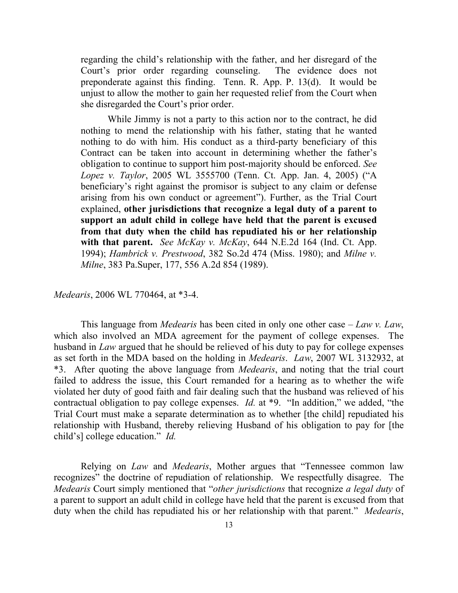regarding the child's relationship with the father, and her disregard of the Court's prior order regarding counseling. The evidence does not preponderate against this finding. Tenn. R. App. P. 13(d). It would be unjust to allow the mother to gain her requested relief from the Court when she disregarded the Court's prior order.

While Jimmy is not a party to this action nor to the contract, he did nothing to mend the relationship with his father, stating that he wanted nothing to do with him. His conduct as a third-party beneficiary of this Contract can be taken into account in determining whether the father's obligation to continue to support him post-majority should be enforced. *See Lopez v. Taylor*, 2005 WL 3555700 (Tenn. Ct. App. Jan. 4, 2005) ("A beneficiary's right against the promisor is subject to any claim or defense arising from his own conduct or agreement"). Further, as the Trial Court explained, **other jurisdictions that recognize a legal duty of a parent to support an adult child in college have held that the parent is excused from that duty when the child has repudiated his or her relationship with that parent.** *See McKay v. McKay*, 644 N.E.2d 164 (Ind. Ct. App. 1994); *Hambrick v. Prestwood*, 382 So.2d 474 (Miss. 1980); and *Milne v. Milne*, 383 Pa.Super, 177, 556 A.2d 854 (1989).

*Medearis*, 2006 WL 770464, at \*3-4.

This language from *Medearis* has been cited in only one other case – *Law v. Law*, which also involved an MDA agreement for the payment of college expenses. The husband in *Law* argued that he should be relieved of his duty to pay for college expenses as set forth in the MDA based on the holding in *Medearis*. *Law*, 2007 WL 3132932, at \*3. After quoting the above language from *Medearis*, and noting that the trial court failed to address the issue, this Court remanded for a hearing as to whether the wife violated her duty of good faith and fair dealing such that the husband was relieved of his contractual obligation to pay college expenses. *Id.* at \*9. "In addition," we added, "the Trial Court must make a separate determination as to whether [the child] repudiated his relationship with Husband, thereby relieving Husband of his obligation to pay for [the child's] college education." *Id.*

Relying on *Law* and *Medearis*, Mother argues that "Tennessee common law recognizes" the doctrine of repudiation of relationship. We respectfully disagree. The *Medearis* Court simply mentioned that "*other jurisdictions* that recognize *a legal duty* of a parent to support an adult child in college have held that the parent is excused from that duty when the child has repudiated his or her relationship with that parent." *Medearis*,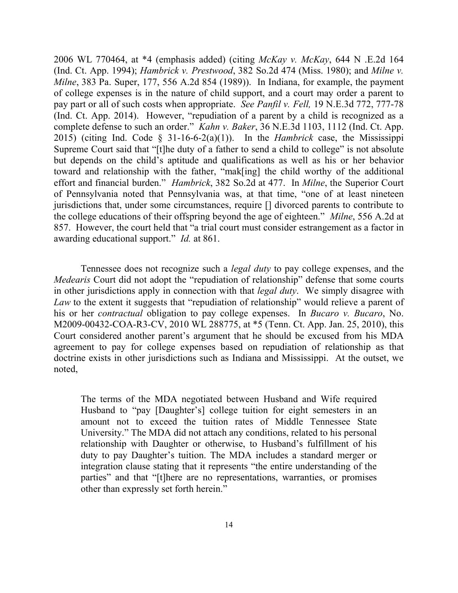2006 WL 770464, at \*4 (emphasis added) (citing *McKay v. McKay*, 644 N .E.2d 164 (Ind. Ct. App. 1994); *Hambrick v. Prestwood*, 382 So.2d 474 (Miss. 1980); and *Milne v. Milne*, 383 Pa. Super, 177, 556 A.2d 854 (1989)). In Indiana, for example, the payment of college expenses is in the nature of child support, and a court may order a parent to pay part or all of such costs when appropriate. *See Panfil v. Fell,* 19 N.E.3d 772, 777-78 (Ind. Ct. App. 2014). However, "repudiation of a parent by a child is recognized as a complete defense to such an order." *Kahn v. Baker*, 36 N.E.3d 1103, 1112 (Ind. Ct. App. 2015) (citing Ind. Code § 31-16-6-2(a)(1)). In the *Hambrick* case, the Mississippi Supreme Court said that "[t]he duty of a father to send a child to college" is not absolute but depends on the child's aptitude and qualifications as well as his or her behavior toward and relationship with the father, "mak[ing] the child worthy of the additional effort and financial burden." *Hambrick*, 382 So.2d at 477. In *Milne*, the Superior Court of Pennsylvania noted that Pennsylvania was, at that time, "one of at least nineteen jurisdictions that, under some circumstances, require [] divorced parents to contribute to the college educations of their offspring beyond the age of eighteen." *Milne*, 556 A.2d at 857. However, the court held that "a trial court must consider estrangement as a factor in awarding educational support." *Id.* at 861.

Tennessee does not recognize such a *legal duty* to pay college expenses, and the *Medearis* Court did not adopt the "repudiation of relationship" defense that some courts in other jurisdictions apply in connection with that *legal duty*. We simply disagree with Law to the extent it suggests that "repudiation of relationship" would relieve a parent of his or her *contractual* obligation to pay college expenses. In *Bucaro v. Bucaro*, No. M2009-00432-COA-R3-CV, 2010 WL 288775, at \*5 (Tenn. Ct. App. Jan. 25, 2010), this Court considered another parent's argument that he should be excused from his MDA agreement to pay for college expenses based on repudiation of relationship as that doctrine exists in other jurisdictions such as Indiana and Mississippi. At the outset, we noted,

The terms of the MDA negotiated between Husband and Wife required Husband to "pay [Daughter's] college tuition for eight semesters in an amount not to exceed the tuition rates of Middle Tennessee State University." The MDA did not attach any conditions, related to his personal relationship with Daughter or otherwise, to Husband's fulfillment of his duty to pay Daughter's tuition. The MDA includes a standard merger or integration clause stating that it represents "the entire understanding of the parties" and that "[t]here are no representations, warranties, or promises other than expressly set forth herein."